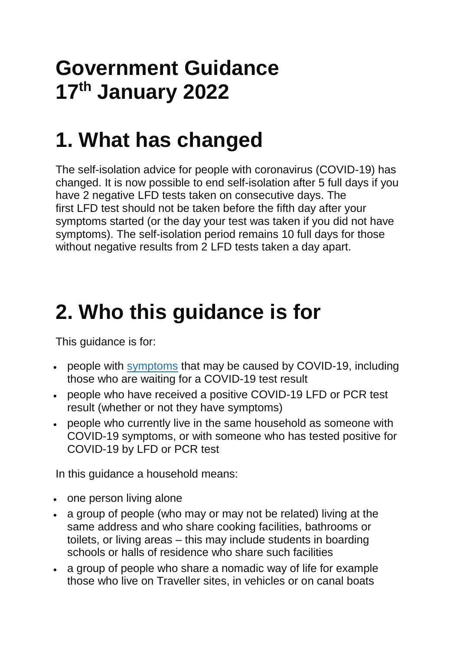## **Government Guidance 17th January 2022**

## **1. What has changed**

The self-isolation advice for people with coronavirus (COVID-19) has changed. It is now possible to end self-isolation after 5 full days if you have 2 negative LFD tests taken on consecutive days. The first LFD test should not be taken before the fifth day after your symptoms started (or the day your test was taken if you did not have symptoms). The self-isolation period remains 10 full days for those without negative results from 2 LFD tests taken a day apart.

## **2. Who this guidance is for**

This guidance is for:

- people with [symptoms](https://www.gov.uk/government/publications/covid-19-stay-at-home-guidance/stay-at-home-guidance-for-households-with-possible-coronavirus-covid-19-infection#symptoms) that may be caused by COVID-19, including those who are waiting for a COVID-19 test result
- people who have received a positive COVID-19 LFD or PCR test result (whether or not they have symptoms)
- people who currently live in the same household as someone with COVID-19 symptoms, or with someone who has tested positive for COVID-19 by LFD or PCR test

In this guidance a household means:

- one person living alone
- a group of people (who may or may not be related) living at the same address and who share cooking facilities, bathrooms or toilets, or living areas – this may include students in boarding schools or halls of residence who share such facilities
- a group of people who share a nomadic way of life for example those who live on Traveller sites, in vehicles or on canal boats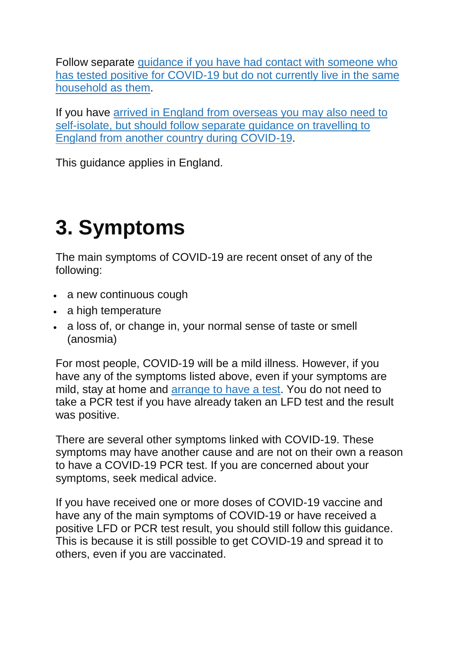Follow separate [guidance if you have had contact with someone](https://www.gov.uk/government/publications/guidance-for-contacts-of-people-with-possible-or-confirmed-coronavirus-covid-19-infection-who-do-not-live-with-the-person) who [has tested positive for COVID-19 but do not currently live in the same](https://www.gov.uk/government/publications/guidance-for-contacts-of-people-with-possible-or-confirmed-coronavirus-covid-19-infection-who-do-not-live-with-the-person)  [household as them.](https://www.gov.uk/government/publications/guidance-for-contacts-of-people-with-possible-or-confirmed-coronavirus-covid-19-infection-who-do-not-live-with-the-person)

If you have [arrived in England from overseas you may also need to](https://www.gov.uk/guidance/travel-to-england-from-another-country-during-coronavirus-covid-19)  [self-isolate, but should follow separate guidance on travelling to](https://www.gov.uk/guidance/travel-to-england-from-another-country-during-coronavirus-covid-19)  [England from another country during COVID-19.](https://www.gov.uk/guidance/travel-to-england-from-another-country-during-coronavirus-covid-19)

This guidance applies in England.

# **3. Symptoms**

The main symptoms of COVID-19 are recent onset of any of the following:

- a new continuous cough
- a high temperature
- a loss of, or change in, your normal sense of taste or smell (anosmia)

For most people, COVID-19 will be a mild illness. However, if you have any of the symptoms listed above, even if your symptoms are mild, stay at home and [arrange to have a test.](https://www.gov.uk/get-coronavirus-test) You do not need to take a PCR test if you have already taken an LFD test and the result was positive.

There are several other symptoms linked with COVID-19. These symptoms may have another cause and are not on their own a reason to have a COVID-19 PCR test. If you are concerned about your symptoms, seek medical advice.

If you have received one or more doses of COVID-19 vaccine and have any of the main symptoms of COVID-19 or have received a positive LFD or PCR test result, you should still follow this guidance. This is because it is still possible to get COVID-19 and spread it to others, even if you are vaccinated.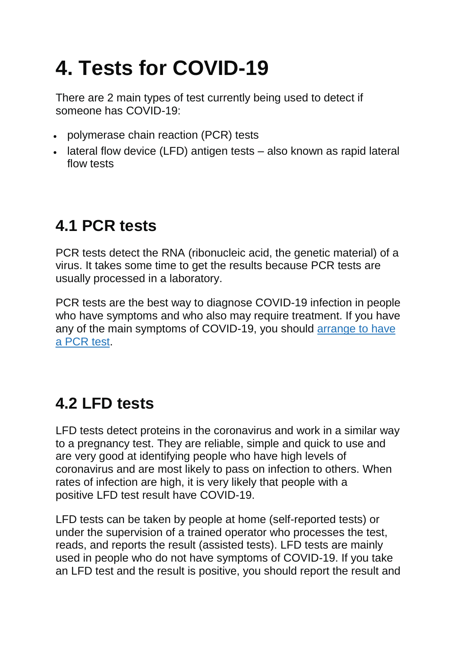# **4. Tests for COVID-19**

There are 2 main types of test currently being used to detect if someone has COVID-19:

- polymerase chain reaction (PCR) tests
- lateral flow device (LFD) antigen tests also known as rapid lateral flow tests

### **4.1 PCR tests**

PCR tests detect the RNA (ribonucleic acid, the genetic material) of a virus. It takes some time to get the results because PCR tests are usually processed in a laboratory.

PCR tests are the best way to diagnose COVID-19 infection in people who have symptoms and who also may require treatment. If you have any of the main symptoms of COVID-19, you should [arrange to have](https://www.gov.uk/get-coronavirus-test)  a [PCR](https://www.gov.uk/get-coronavirus-test) test.

### **4.2 LFD tests**

LFD tests detect proteins in the coronavirus and work in a similar way to a pregnancy test. They are reliable, simple and quick to use and are very good at identifying people who have high levels of coronavirus and are most likely to pass on infection to others. When rates of infection are high, it is very likely that people with a positive LFD test result have COVID-19.

LFD tests can be taken by people at home (self-reported tests) or under the supervision of a trained operator who processes the test, reads, and reports the result (assisted tests). LFD tests are mainly used in people who do not have symptoms of COVID-19. If you take an LFD test and the result is positive, you should report the result and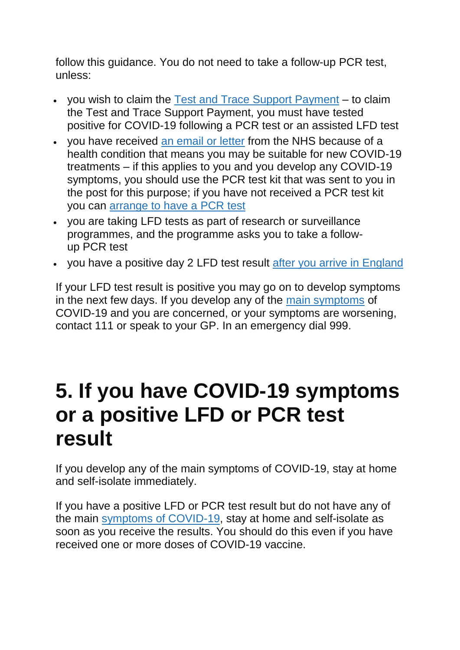follow this guidance. You do not need to take a follow-up PCR test, unless:

- you wish to claim the [Test and Trace Support Payment](https://www.gov.uk/government/publications/test-and-trace-support-payment-scheme-claiming-financial-support/claiming-financial-support-under-the-test-and-trace-support-payment-scheme) to claim the Test and Trace Support Payment, you must have tested positive for COVID-19 following a PCR test or an assisted LFD test
- you have received [an email or letter](https://www.england.nhs.uk/coronavirus/publication/letter-to-patients-important-information-about-new-treatments-for-coronavirus/) from the NHS because of a health condition that means you may be suitable for new COVID-19 treatments – if this applies to you and you develop any COVID-19 symptoms, you should use the PCR test kit that was sent to you in the post for this purpose; if you have not received a PCR test kit you can [arrange to have a](https://www.gov.uk/get-coronavirus-test) PCR test
- you are taking LFD tests as part of research or surveillance programmes, and the programme asks you to take a followup PCR test
- you have a positive day 2 LFD test result [after you arrive in England](https://www.gov.uk/guidance/travel-to-england-from-another-country-during-coronavirus-covid-19)

If your LFD test result is positive you may go on to develop symptoms in the next few days. If you develop any of the [main symptoms](https://www.gov.uk/government/publications/covid-19-stay-at-home-guidance/stay-at-home-guidance-for-households-with-possible-coronavirus-covid-19-infection#symptoms) of COVID-19 and you are concerned, or your symptoms are worsening, contact 111 or speak to your GP. In an emergency dial 999.

## **5. If you have COVID-19 symptoms or a positive LFD or PCR test result**

If you develop any of the main symptoms of COVID-19, stay at home and self-isolate immediately.

If you have a positive LFD or PCR test result but do not have any of the main [symptoms of COVID-19,](https://www.gov.uk/government/publications/covid-19-stay-at-home-guidance/stay-at-home-guidance-for-households-with-possible-coronavirus-covid-19-infection#symptoms) stay at home and self-isolate as soon as you receive the results. You should do this even if you have received one or more doses of COVID-19 vaccine.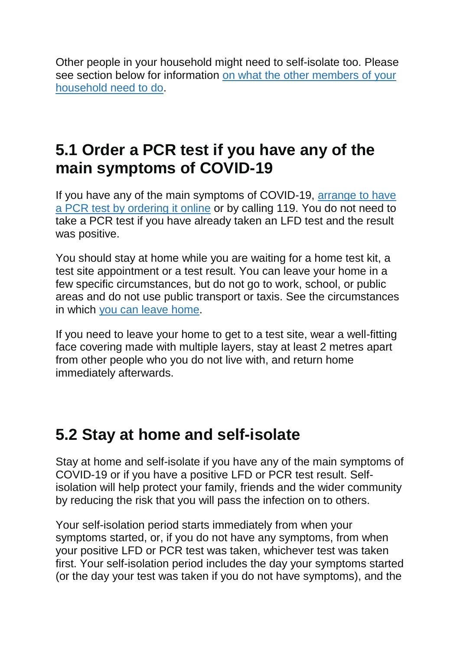Other people in your household might need to self-isolate too. Please see section below for information [on what the other members of your](https://www.gov.uk/government/publications/covid-19-stay-at-home-guidance/stay-at-home-guidance-for-households-with-possible-coronavirus-covid-19-infection#samehousehold)  [household need to do.](https://www.gov.uk/government/publications/covid-19-stay-at-home-guidance/stay-at-home-guidance-for-households-with-possible-coronavirus-covid-19-infection#samehousehold)

#### **5.1 Order a PCR test if you have any of the main symptoms of COVID-19**

If you have any of the main symptoms of COVID-19, [arrange to have](https://www.gov.uk/get-coronavirus-test)  a PCR [test by ordering it online](https://www.gov.uk/get-coronavirus-test) or by calling 119. You do not need to take a PCR test if you have already taken an LFD test and the result was positive.

You should stay at home while you are waiting for a home test kit, a test site appointment or a test result. You can leave your home in a few specific circumstances, but do not go to work, school, or public areas and do not use public transport or taxis. See the circumstances in which [you can leave home.](https://www.legislation.gov.uk/uksi/2020/1045/made)

If you need to leave your home to get to a test site, wear a well-fitting face covering made with multiple layers, stay at least 2 metres apart from other people who you do not live with, and return home immediately afterwards.

#### **5.2 Stay at home and self-isolate**

Stay at home and self-isolate if you have any of the main symptoms of COVID-19 or if you have a positive LFD or PCR test result. Selfisolation will help protect your family, friends and the wider community by reducing the risk that you will pass the infection on to others.

Your self-isolation period starts immediately from when your symptoms started, or, if you do not have any symptoms, from when your positive LFD or PCR test was taken, whichever test was taken first. Your self-isolation period includes the day your symptoms started (or the day your test was taken if you do not have symptoms), and the